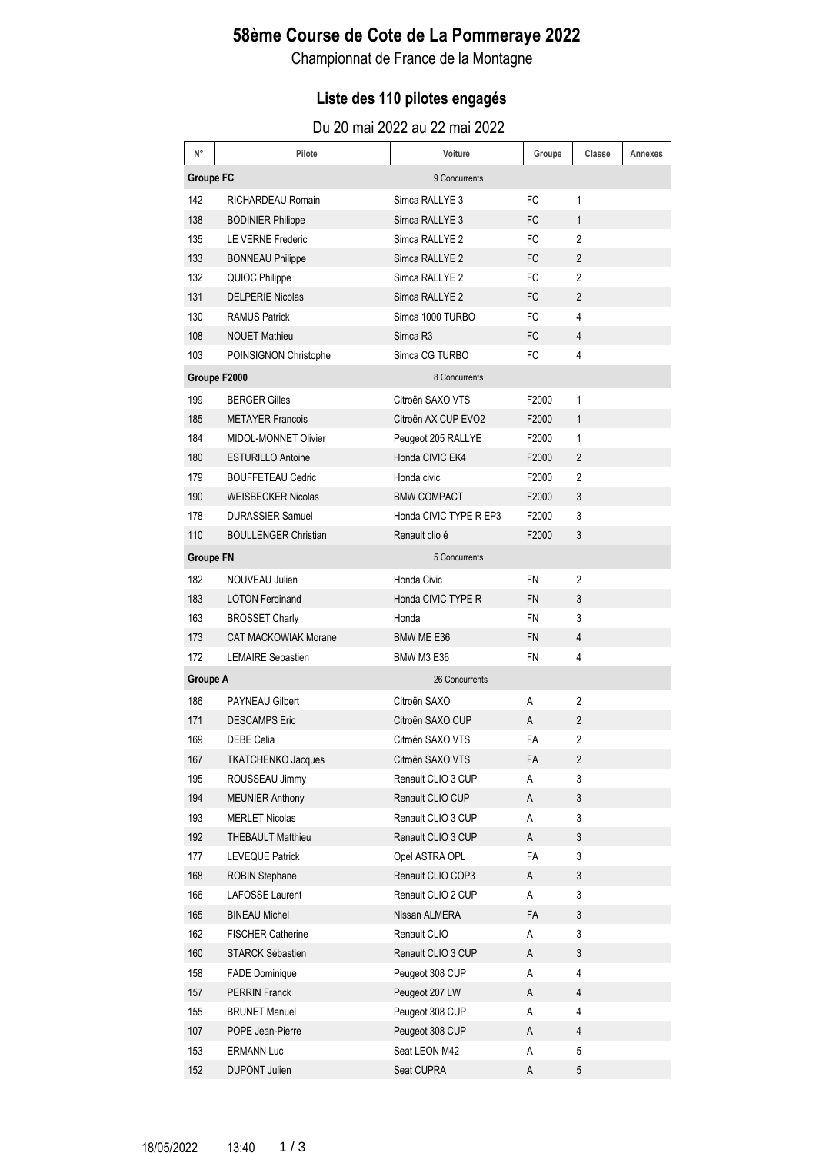## **58ème Course de Cote de La Pommeraye 2022**

Championnat de France de la Montagne

### **Liste des 110 pilotes engagés**

| N°               | Pilote                      | Voiture                | Groupe    | Classe         | Annexes |
|------------------|-----------------------------|------------------------|-----------|----------------|---------|
| <b>Groupe FC</b> |                             | 9 Concurrents          |           |                |         |
| 142              | RICHARDEAU Romain           | Simca RALLYE 3         | FC        | 1              |         |
| 138              | <b>BODINIER Philippe</b>    | Simca RALLYE 3         | <b>FC</b> | 1              |         |
| 135              | LE VERNE Frederic           | Simca RALLYE 2         | FC        | 2              |         |
| 133              | <b>BONNEAU Philippe</b>     | Simca RALLYE 2         | FC        | 2              |         |
| 132              | QUIOC Philippe              | Simca RALLYE 2         | FC        | $\mathbf{2}$   |         |
| 131              | <b>DELPERIE Nicolas</b>     | Simca RALLYE 2         | FC        | $\overline{2}$ |         |
| 130              | <b>RAMUS Patrick</b>        | Simca 1000 TURBO       | <b>FC</b> | 4              |         |
| 108              | <b>NOUET Mathieu</b>        | Simca R <sub>3</sub>   | FC        | 4              |         |
| 103              | POINSIGNON Christophe       | Simca CG TURBO         | FC        | 4              |         |
|                  | Groupe F2000                | 8 Concurrents          |           |                |         |
| 199              | <b>BERGER Gilles</b>        | Citroën SAXO VTS       | F2000     | 1              |         |
| 185              | <b>METAYER Francois</b>     | Citroën AX CUP EVO2    | F2000     | $\mathbf{1}$   |         |
| 184              | MIDOL-MONNET Olivier        | Peugeot 205 RALLYE     | F2000     | 1              |         |
| 180              | <b>ESTURILLO Antoine</b>    | Honda CIVIC EK4        | F2000     | $\overline{2}$ |         |
| 179              | <b>BOUFFETEAU Cedric</b>    | Honda civic            | F2000     | $\overline{2}$ |         |
| 190              | <b>WEISBECKER Nicolas</b>   | <b>BMW COMPACT</b>     | F2000     | 3              |         |
| 178              | <b>DURASSIER Samuel</b>     | Honda CIVIC TYPE R EP3 | F2000     | 3              |         |
| 110              | <b>BOULLENGER Christian</b> | Renault clio é         | F2000     | 3              |         |
| <b>Groupe FN</b> |                             | 5 Concurrents          |           |                |         |
| 182              | NOUVEAU Julien              | Honda Civic            | <b>FN</b> | 2              |         |
| 183              | <b>LOTON Ferdinand</b>      | Honda CIVIC TYPE R     | <b>FN</b> | 3              |         |
| 163              | <b>BROSSET Charly</b>       | Honda                  | <b>FN</b> | 3              |         |
| 173              | <b>CAT MACKOWIAK Morane</b> | BMW ME E36             | <b>FN</b> | 4              |         |
| 172              | <b>LEMAIRE Sebastien</b>    | <b>BMW M3 E36</b>      | <b>FN</b> | 4              |         |
| <b>Groupe A</b>  |                             | 26 Concurrents         |           |                |         |
| 186              | <b>PAYNEAU Gilbert</b>      | Citroën SAXO           | A         | 2              |         |
| 171              | <b>DESCAMPS Eric</b>        | Citroën SAXO CUP       | A         | $\overline{2}$ |         |
| 169              | <b>DEBE Celia</b>           | Citroën SAXO VTS       | FA        | $\overline{2}$ |         |
| 167              | TKATCHENKO Jacques          | Citroën SAXO VTS       | FA        | 2              |         |
| 195              | ROUSSEAU Jimmy              | Renault CLIO 3 CUP     | Α         | 3              |         |
| 194              | <b>MEUNIER Anthony</b>      | Renault CLIO CUP       | A         | 3              |         |
| 193              | <b>MERLET Nicolas</b>       | Renault CLIO 3 CUP     | Α         | 3              |         |
| 192              | <b>THEBAULT Matthieu</b>    | Renault CLIO 3 CUP     | A         | 3              |         |
| 177              | <b>LEVEQUE Patrick</b>      | Opel ASTRA OPL         | FA        | 3              |         |
| 168              | <b>ROBIN Stephane</b>       | Renault CLIO COP3      | А         | 3              |         |
| 166              | LAFOSSE Laurent             | Renault CLIO 2 CUP     | Α         | 3              |         |
| 165              | <b>BINEAU Michel</b>        | Nissan ALMERA          | FA        | 3              |         |
| 162              | <b>FISCHER Catherine</b>    | Renault CLIO           | Α         | 3              |         |
| 160              | STARCK Sébastien            | Renault CLIO 3 CUP     | A         | 3              |         |
| 158              | <b>FADE Dominique</b>       | Peugeot 308 CUP        | Α         | 4              |         |
| 157              | <b>PERRIN Franck</b>        | Peugeot 207 LW         | A         | $\overline{4}$ |         |
| 155              | <b>BRUNET Manuel</b>        | Peugeot 308 CUP        | Α         | $\overline{4}$ |         |
| 107              | POPE Jean-Pierre            | Peugeot 308 CUP        | A         | $\overline{4}$ |         |
| 153              | <b>ERMANN Luc</b>           | Seat LEON M42          | Α         | 5              |         |
| 152              | <b>DUPONT Julien</b>        | Seat CUPRA             | Α         | 5              |         |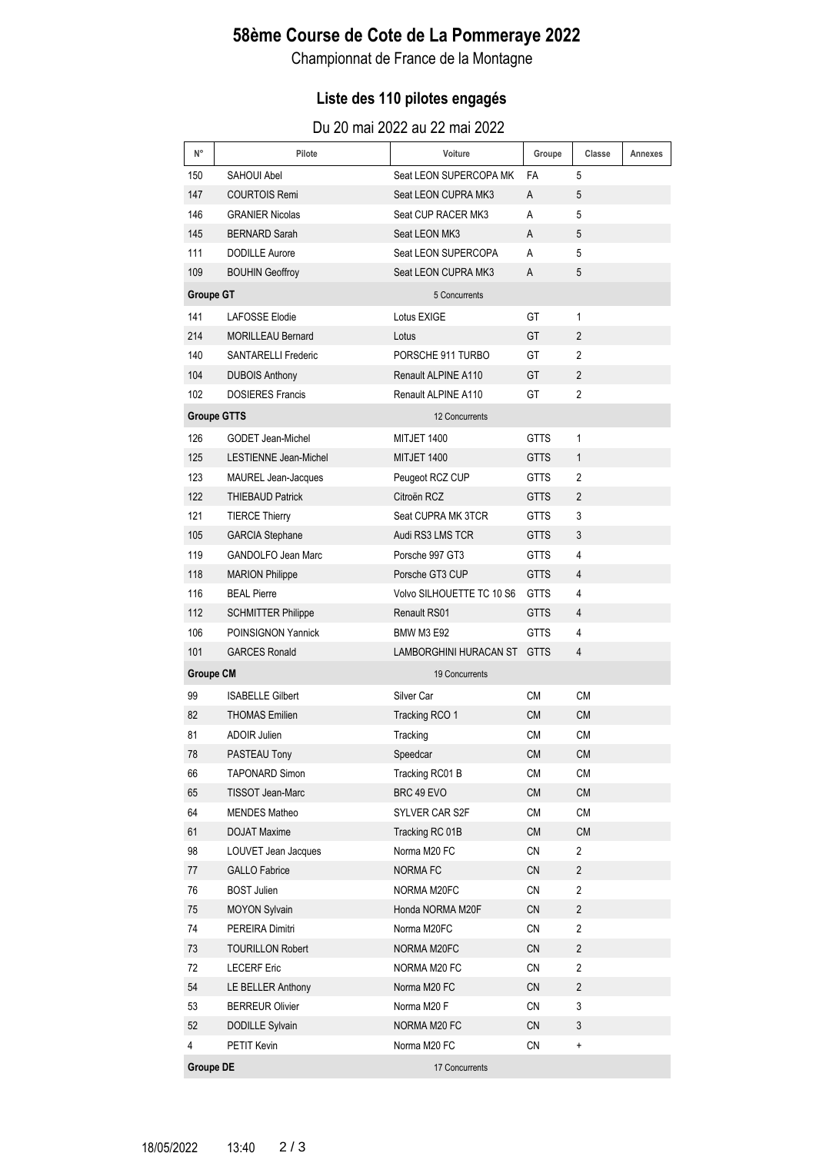## **58ème Course de Cote de La Pommeraye 2022**

Championnat de France de la Montagne

### **Liste des 110 pilotes engagés**

| N°               | Pilote                     | Voiture                   | Groupe      | Classe                  | Annexes |
|------------------|----------------------------|---------------------------|-------------|-------------------------|---------|
| 150              | <b>SAHOUI Abel</b>         | Seat LEON SUPERCOPA MK    | FA          | 5                       |         |
| 147              | <b>COURTOIS Remi</b>       | Seat LEON CUPRA MK3       | A           | 5                       |         |
| 146              | <b>GRANIER Nicolas</b>     | Seat CUP RACER MK3        | A           | 5                       |         |
| 145              | <b>BERNARD Sarah</b>       | Seat LEON MK3             | A           | 5                       |         |
| 111              | <b>DODILLE Aurore</b>      | Seat LEON SUPERCOPA       | A           | 5                       |         |
| 109              | <b>BOUHIN Geoffroy</b>     | Seat LEON CUPRA MK3       | A           | 5                       |         |
| <b>Groupe GT</b> |                            | 5 Concurrents             |             |                         |         |
| 141              | <b>LAFOSSE Elodie</b>      | Lotus EXIGE               | GT          | 1                       |         |
| 214              | <b>MORILLEAU Bernard</b>   | Lotus                     | GT          | $\overline{2}$          |         |
| 140              | <b>SANTARELLI Frederic</b> | PORSCHE 911 TURBO         | GT          | 2                       |         |
| 104              | <b>DUBOIS Anthony</b>      | Renault ALPINE A110       | GT          | $\overline{2}$          |         |
| 102              | <b>DOSIERES Francis</b>    | Renault ALPINE A110       | GT          | $\overline{2}$          |         |
|                  | <b>Groupe GTTS</b>         | 12 Concurrents            |             |                         |         |
| 126              | <b>GODET Jean-Michel</b>   | MITJET 1400               | <b>GTTS</b> | 1                       |         |
| 125              | LESTIENNE Jean-Michel      | MITJET 1400               | <b>GTTS</b> | $\mathbf{1}$            |         |
| 123              | MAUREL Jean-Jacques        | Peugeot RCZ CUP           | <b>GTTS</b> | 2                       |         |
| 122              | <b>THIEBAUD Patrick</b>    | Citroën RCZ               | <b>GTTS</b> | $\mathbf{2}$            |         |
| 121              | <b>TIERCE Thierry</b>      | Seat CUPRA MK 3TCR        | <b>GTTS</b> | 3                       |         |
| 105              | <b>GARCIA Stephane</b>     | Audi RS3 LMS TCR          | <b>GTTS</b> | 3                       |         |
| 119              | <b>GANDOLFO Jean Marc</b>  | Porsche 997 GT3           | <b>GTTS</b> | 4                       |         |
| 118              | <b>MARION Philippe</b>     | Porsche GT3 CUP           | <b>GTTS</b> | 4                       |         |
| 116              | <b>BEAL Pierre</b>         | Volvo SILHOUETTE TC 10 S6 | <b>GTTS</b> | 4                       |         |
| 112              | <b>SCHMITTER Philippe</b>  | Renault RS01              | <b>GTTS</b> | 4                       |         |
| 106              | <b>POINSIGNON Yannick</b>  | <b>BMW M3 E92</b>         | <b>GTTS</b> | 4                       |         |
| 101              | <b>GARCES Ronald</b>       | LAMBORGHINI HURACAN ST    | <b>GTTS</b> | 4                       |         |
| <b>Groupe CM</b> |                            | 19 Concurrents            |             |                         |         |
| 99               | <b>ISABELLE Gilbert</b>    | Silver Car                | <b>CM</b>   | <b>CM</b>               |         |
| 82               | <b>THOMAS Emilien</b>      | Tracking RCO 1            | <b>CM</b>   | <b>CM</b>               |         |
| 81               | <b>ADOIR Julien</b>        | Tracking                  | <b>CM</b>   | <b>CM</b>               |         |
| 78               | PASTEAU Tony               | Speedcar                  | CM          | <b>CM</b>               |         |
| 66               | <b>TAPONARD Simon</b>      | Tracking RC01 B           | <b>CM</b>   | <b>CM</b>               |         |
| 65               | TISSOT Jean-Marc           | BRC 49 EVO                | CM          | CM                      |         |
| 64               | <b>MENDES Matheo</b>       | SYLVER CAR S2F            | CM          | CM                      |         |
| 61               | <b>DOJAT Maxime</b>        | Tracking RC 01B           | ${\sf CM}$  | <b>CM</b>               |         |
| 98               | LOUVET Jean Jacques        | Norma M20 FC              | CN          | $\overline{2}$          |         |
| 77               | <b>GALLO Fabrice</b>       | <b>NORMAFC</b>            | <b>CN</b>   | $\overline{2}$          |         |
| 76               | <b>BOST Julien</b>         | NORMA M20FC               | CN          | $\overline{2}$          |         |
| 75               | <b>MOYON Sylvain</b>       | Honda NORMA M20F          | CN          | 2                       |         |
| 74               | PEREIRA Dimitri            | Norma M20FC               | CN          | 2                       |         |
| 73               | <b>TOURILLON Robert</b>    | NORMA M20FC               | CN          | $\overline{\mathbf{c}}$ |         |
| 72               | <b>LECERF Eric</b>         | NORMA M20 FC              | CN          | $\overline{2}$          |         |
| 54               | LE BELLER Anthony          | Norma M20 FC              | CN          | $\overline{\mathbf{c}}$ |         |
| 53               | <b>BERREUR Olivier</b>     | Norma M20 F               | <b>CN</b>   | 3                       |         |
| 52               | DODILLE Sylvain            | NORMA M20 FC              | CN          | 3                       |         |
| 4                | PETIT Kevin                | Norma M20 FC              | CN          | $\ddot{}$               |         |
| <b>Groupe DE</b> |                            | 17 Concurrents            |             |                         |         |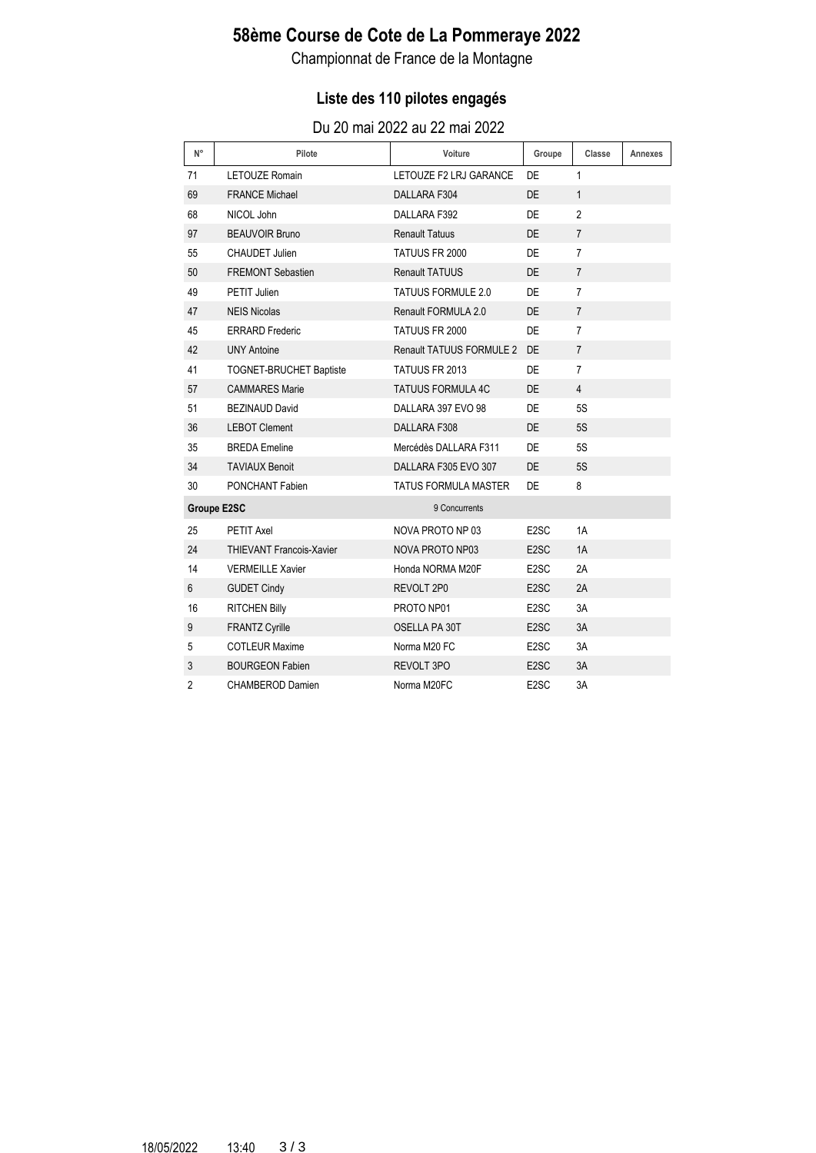## **58ème Course de Cote de La Pommeraye 2022**

Championnat de France de la Montagne

### **Liste des 110 pilotes engagés**

| $N^{\circ}$    | Pilote                          | Voiture                     | Groupe            | Classe         | Annexes |
|----------------|---------------------------------|-----------------------------|-------------------|----------------|---------|
| 71             | <b>LETOUZE Romain</b>           | LETOUZE F2 LRJ GARANCE      | <b>DE</b>         | $\mathbf{1}$   |         |
| 69             | <b>FRANCE Michael</b>           | DALLARA F304                | DE                | $\mathbf{1}$   |         |
| 68             | NICOL John                      | DALLARA F392                | DE.               | 2              |         |
| 97             | <b>BEAUVOIR Bruno</b>           | <b>Renault Tatuus</b>       | <b>DE</b>         | $\overline{7}$ |         |
| 55             | CHAUDET Julien                  | TATUUS FR 2000              | <b>DE</b>         | $\overline{7}$ |         |
| 50             | <b>FREMONT Sebastien</b>        | <b>Renault TATUUS</b>       | <b>DE</b>         | $\overline{7}$ |         |
| 49             | PETIT Julien                    | TATUUS FORMULE 2.0          | DE.               | $\overline{7}$ |         |
| 47             | <b>NEIS Nicolas</b>             | Renault FORMULA 2.0         | DE.               | $\overline{7}$ |         |
| 45             | <b>ERRARD</b> Frederic          | TATUUS FR 2000              | <b>DE</b>         | 7              |         |
| 42             | <b>UNY Antoine</b>              | Renault TATUUS FORMULE 2    | DE.               | $\overline{7}$ |         |
| 41             | <b>TOGNET-BRUCHET Baptiste</b>  | <b>TATUUS FR 2013</b>       | DE.               | $\overline{7}$ |         |
| 57             | <b>CAMMARES Marie</b>           | <b>TATUUS FORMULA 4C</b>    | DE                | 4              |         |
| 51             | <b>BEZINAUD David</b>           | DALLARA 397 EVO 98          | <b>DE</b>         | <b>5S</b>      |         |
| 36             | <b>LEBOT Clement</b>            | DALLARA F308                | <b>DE</b>         | 5S             |         |
| 35             | <b>BREDA</b> Emeline            | Mercédès DALLARA F311       | DE                | <b>5S</b>      |         |
| 34             | <b>TAVIAUX Benoit</b>           | DALLARA F305 EVO 307        | <b>DE</b>         | <b>5S</b>      |         |
| 30             | PONCHANT Fabien                 | <b>TATUS FORMULA MASTER</b> | DE.               | 8              |         |
|                | <b>Groupe E2SC</b>              | 9 Concurrents               |                   |                |         |
| 25             | <b>PETIT Axel</b>               | NOVA PROTO NP 03            | E <sub>2</sub> SC | 1A             |         |
| 24             | <b>THIEVANT Francois-Xavier</b> | <b>NOVA PROTO NP03</b>      | E <sub>2</sub> SC | 1A             |         |
| 14             | <b>VERMEILLE Xavier</b>         | Honda NORMA M20F            | E <sub>2</sub> SC | 2A             |         |
| 6              | <b>GUDET Cindy</b>              | REVOLT 2P0                  | E <sub>2</sub> SC | 2A             |         |
| 16             | <b>RITCHEN Billy</b>            | PROTO NP01                  | E <sub>2</sub> SC | 3A             |         |
| 9              | <b>FRANTZ Cyrille</b>           | OSELLA PA 30T               | E <sub>2</sub> SC | 3A             |         |
| 5              | <b>COTLEUR Maxime</b>           | Norma M20 FC                | E <sub>2</sub> SC | 3A             |         |
| 3              | <b>BOURGEON Fabien</b>          | <b>REVOLT 3PO</b>           | E <sub>2</sub> SC | 3A             |         |
| $\overline{2}$ | <b>CHAMBEROD Damien</b>         | Norma M20FC                 | E <sub>2</sub> SC | 3A             |         |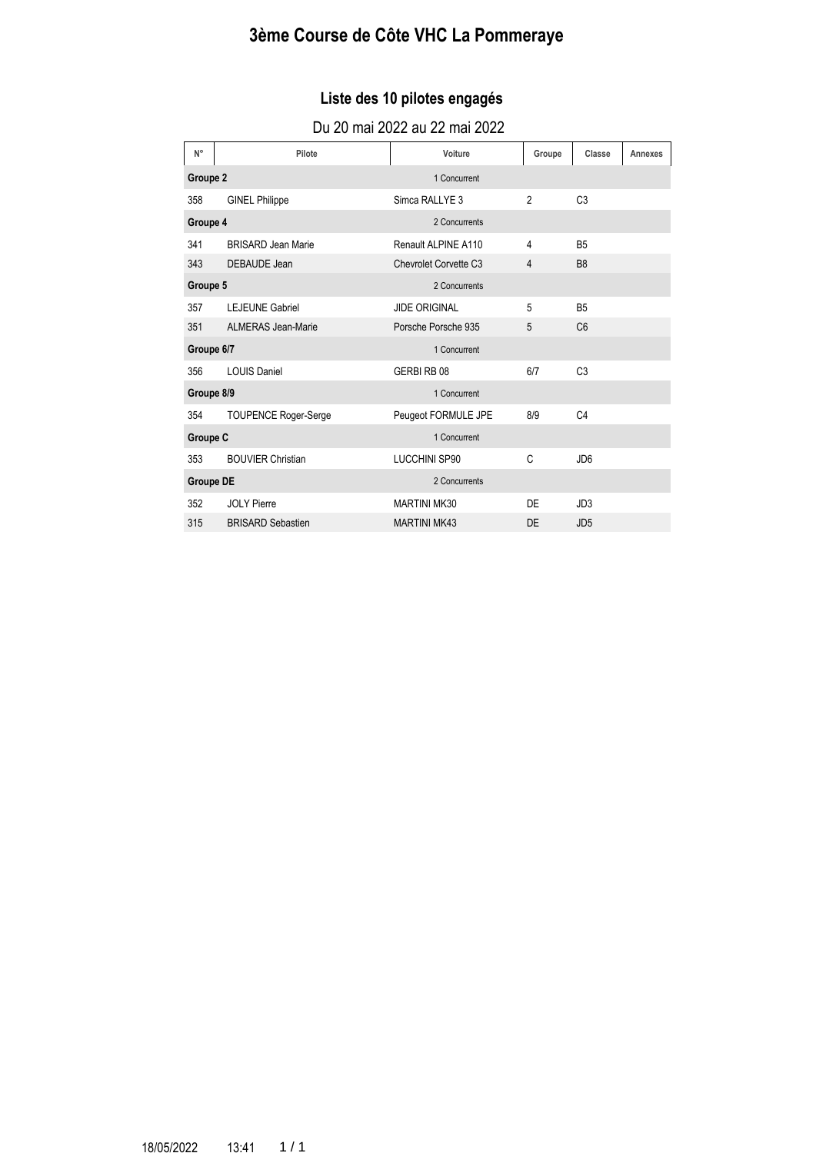# **3ème Course de Côte VHC La Pommeraye**

### **Liste des 10 pilotes engagés**

| $N^{\circ}$      | Pilote                      | Voiture               | Groupe         | Classe          | Annexes |
|------------------|-----------------------------|-----------------------|----------------|-----------------|---------|
| Groupe 2         |                             | 1 Concurrent          |                |                 |         |
| 358              | <b>GINEL Philippe</b>       | Simca RALLYE 3        | $\overline{2}$ | C <sub>3</sub>  |         |
| Groupe 4         |                             | 2 Concurrents         |                |                 |         |
| 341              | <b>BRISARD Jean Marie</b>   | Renault ALPINE A110   | 4              | <b>B5</b>       |         |
| 343              | DEBAUDE Jean                | Chevrolet Corvette C3 | 4              | B <sub>8</sub>  |         |
| Groupe 5         |                             | 2 Concurrents         |                |                 |         |
| 357              | <b>LEJEUNE Gabriel</b>      | <b>JIDE ORIGINAL</b>  | 5              | <b>B5</b>       |         |
| 351              | <b>ALMERAS Jean-Marie</b>   | Porsche Porsche 935   | 5              | C <sub>6</sub>  |         |
| Groupe 6/7       |                             | 1 Concurrent          |                |                 |         |
| 356              | <b>LOUIS Daniel</b>         | GERBIRB08             | 6/7            | C <sub>3</sub>  |         |
| Groupe 8/9       |                             | 1 Concurrent          |                |                 |         |
| 354              | <b>TOUPENCE Roger-Serge</b> | Peugeot FORMULE JPE   | 8/9            | C <sub>4</sub>  |         |
| Groupe C         |                             | 1 Concurrent          |                |                 |         |
| 353              | <b>BOUVIER Christian</b>    | <b>LUCCHINI SP90</b>  | $\mathsf{C}$   | JD <sub>6</sub> |         |
| <b>Groupe DE</b> |                             | 2 Concurrents         |                |                 |         |
| 352              | <b>JOLY Pierre</b>          | <b>MARTINI MK30</b>   | DF             | JD <sub>3</sub> |         |
| 315              | <b>BRISARD Sebastien</b>    | <b>MARTINI MK43</b>   | DE             | JD <sub>5</sub> |         |